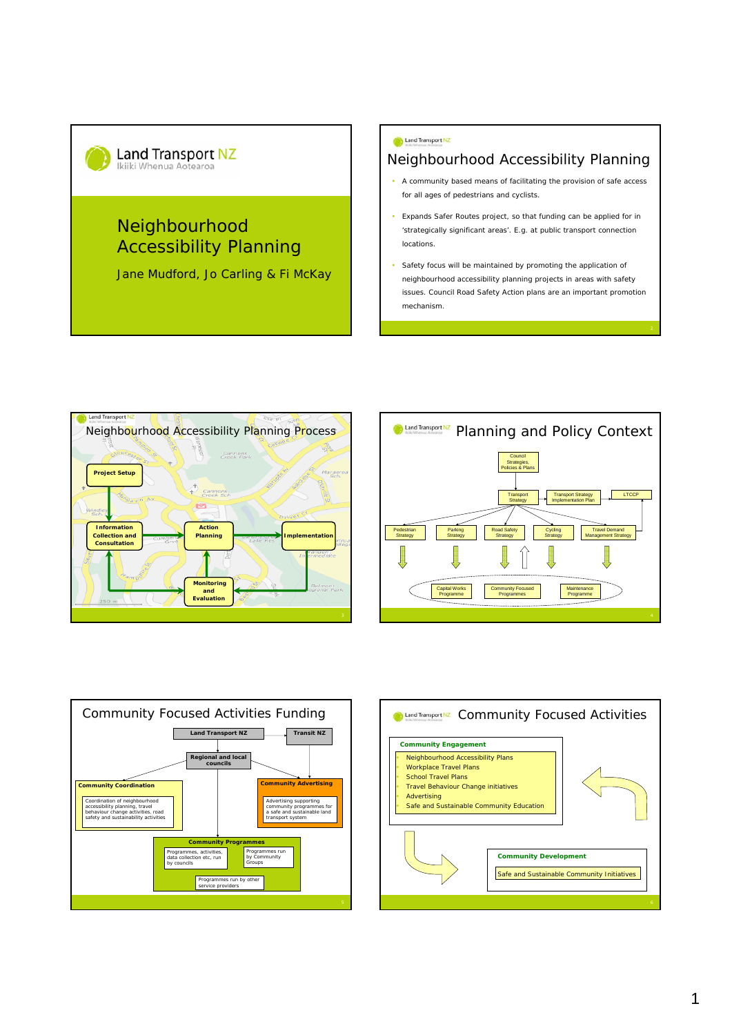

# Neighbourhood Accessibility Planning

Jane Mudford, Jo Carling & Fi McKay

#### Land Transport NZ

## Neighbourhood Accessibility Planning

- A community based means of facilitating the provision of safe access for all ages of pedestrians and cyclists.
- Expands Safer Routes project, so that funding can be applied for in 'strategically significant areas'. E.g. at public transport connection locations.
- Safety focus will be maintained by promoting the application of neighbourhood accessibility planning projects in areas with safety issues. Council Road Safety Action plans are an important promotion mechanism.







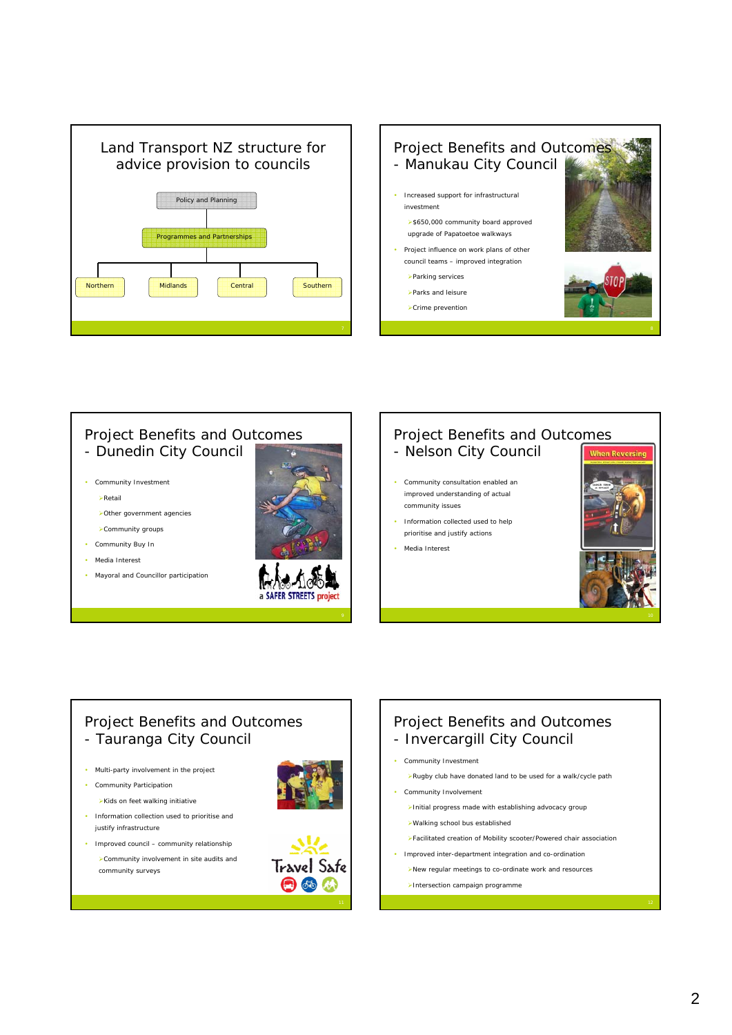



## Project Benefits and Outcomes - Dunedin City Council

- 
- Community Investment
	- ¾Retail
	- ¾Other government agencies
	- ¾Community groups
- Community Buy In
- Media Interest
- Mayoral and Councillor participation



#### Project Benefits and Outcomes - Nelson City Council

- Community consultation enabled an improved understanding of actual community issues
- Information collected used to help prioritise and justify actions
- Media Interest



#### Project Benefits and Outcomes - Tauranga City Council

- Multi-party involvement in the project
- Community Participation

¾Kids on feet walking initiative

- Information collection used to prioritise and justify infrastructure
- Improved council community relationship ¾Community involvement in site audits and community surveys





#### Project Benefits and Outcomes - Invercargill City Council

#### • Community Investment

- ¾Rugby club have donated land to be used for a walk/cycle path
- Community Involvement
	- ¾Initial progress made with establishing advocacy group
	- ¾Walking school bus established
- ¾Facilitated creation of Mobility scooter/Powered chair association
- Improved inter-department integration and co-ordination
	- ¾New regular meetings to co-ordinate work and resources
	- ¾Intersection campaign programme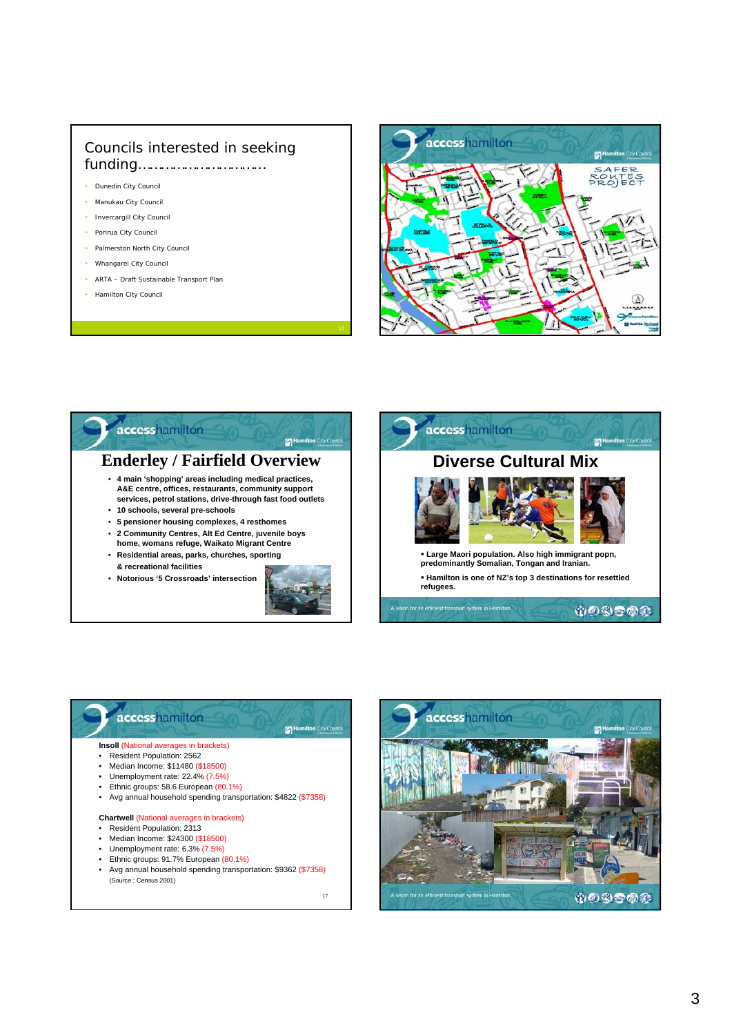## Councils interested in seeking funding……………………………

- Dunedin City Council
- Manukau City Council
- Invercargill City Council
- Porirua City Council
- Palmerston North City Council
- Whangarei City Council
- ARTA Draft Sustainable Transport Plan
- Hamilton City Council







## accesshamilton Hamilton City Council

#### **Insoll** (National averages in brackets)

- Resident Population: 2562
- Median Income: \$11480 (\$18500)
- Unemployment rate: 22.4% (7.5%)
- Ethnic groups: 58.6 European (80.1%)
- Avg annual household spending transportation: \$4822 (\$7358)

#### **Chartwell** (National averages in brackets)

- Resident Population: 2313
- Median Income: \$24300 (\$18500) • Unemployment rate: 6.3% (7.5%)
- Ethnic groups: 91.7% European (80.1%)
- Avg annual household spending transportation: \$9362 (\$7358) (Source : Census 2001)

17

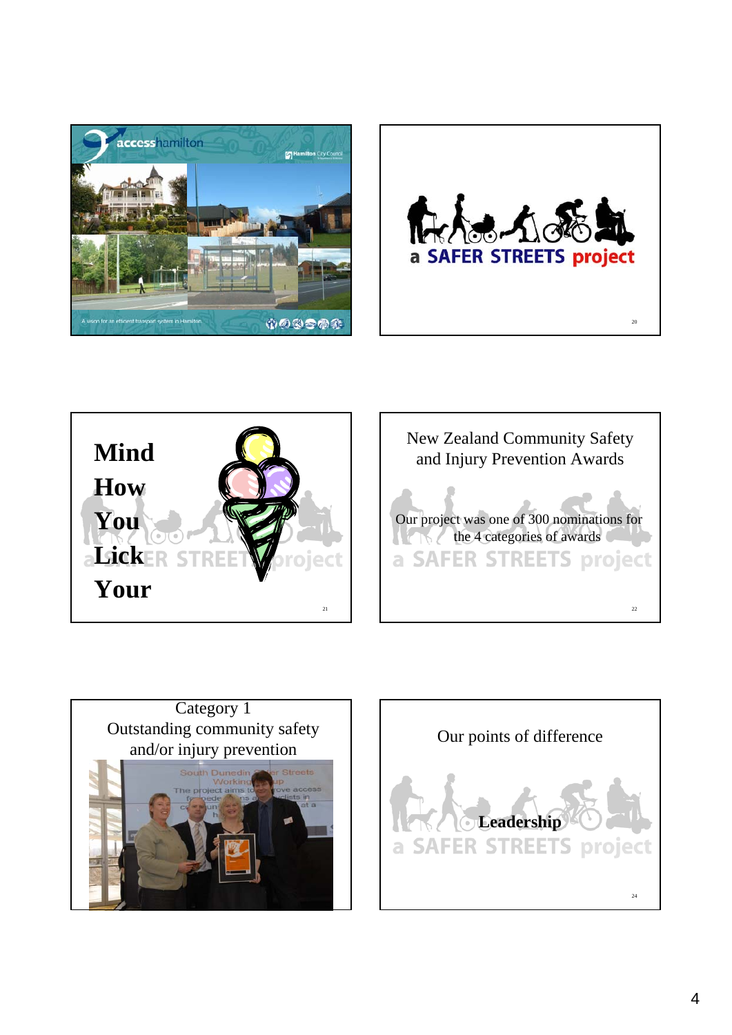









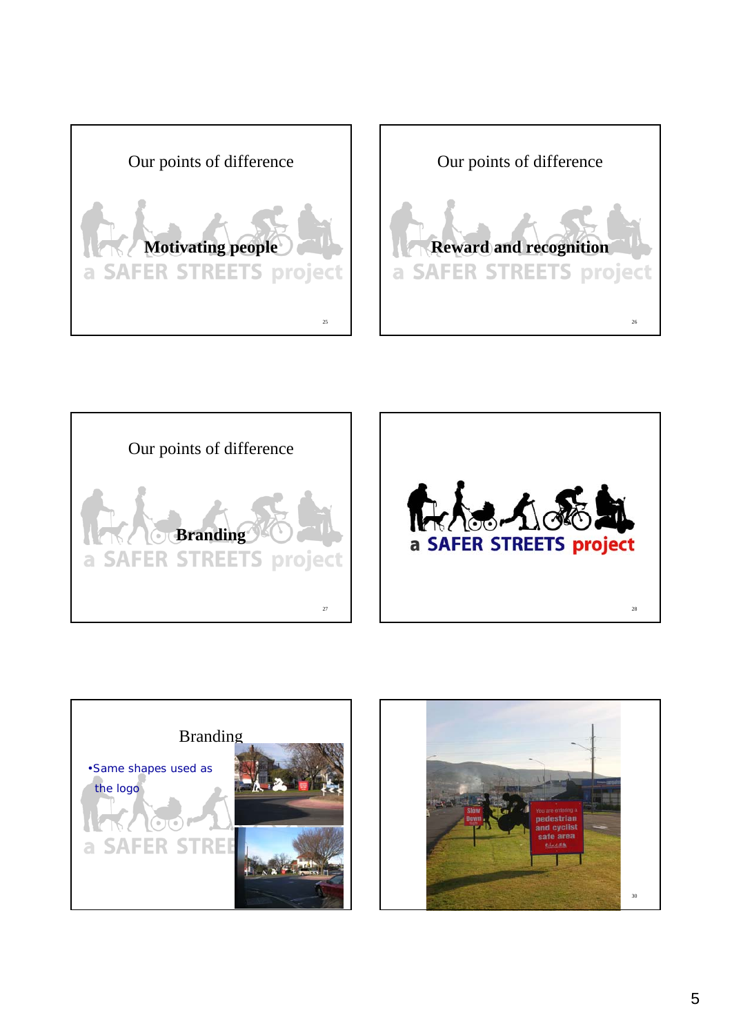









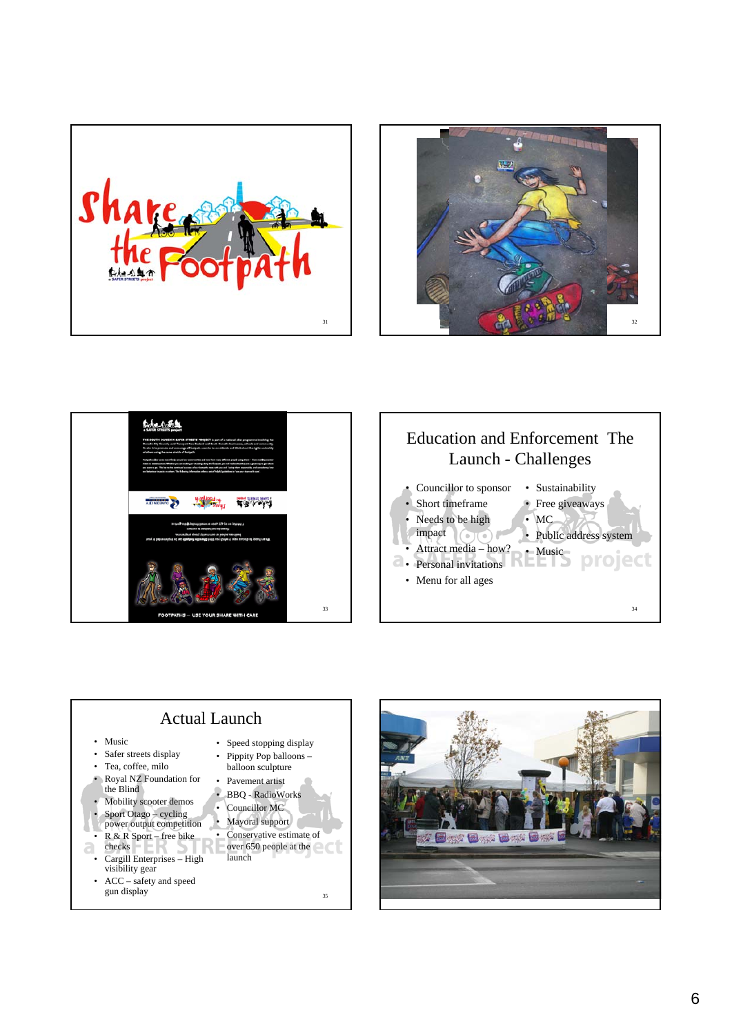









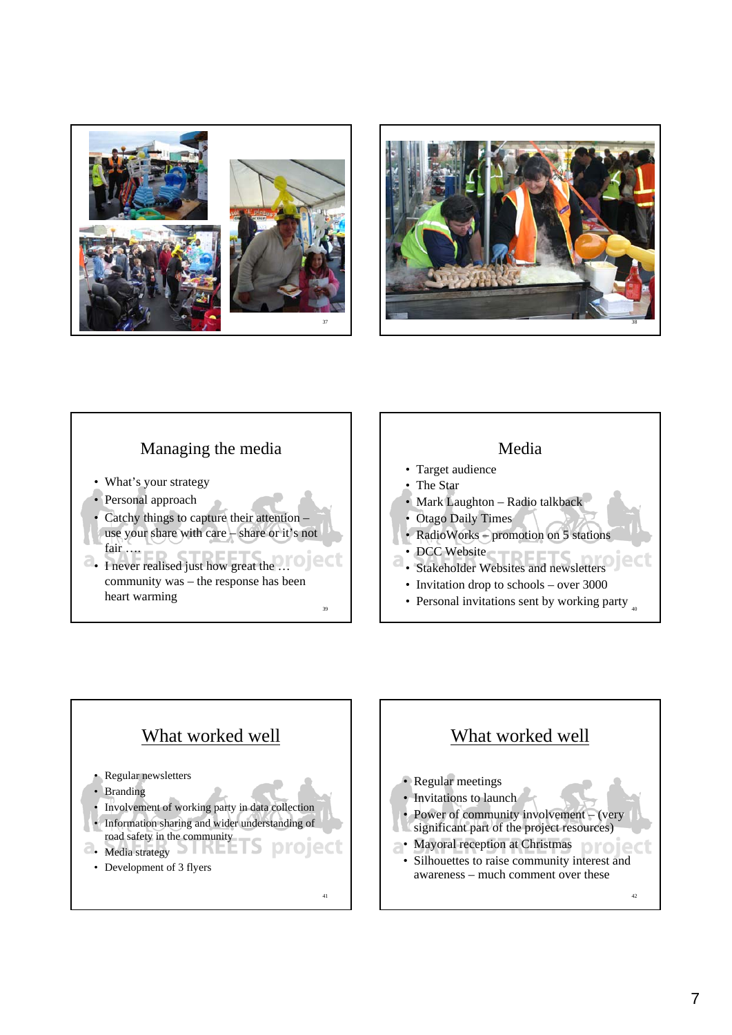